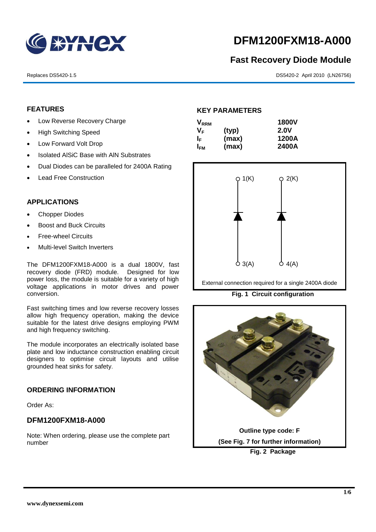

# **DFM1200FXM18-A000**

# **Fast Recovery Diode Module**

Replaces DS5420-1.5 DS5420-2 April 2010 (LN26756)

# **FEATURES**

- Low Reverse Recovery Charge
- High Switching Speed
- Low Forward Volt Drop
- Isolated AISiC Base with AIN Substrates
- Dual Diodes can be paralleled for 2400A Rating
- Lead Free Construction

#### **APPLICATIONS**

- Chopper Diodes
- Boost and Buck Circuits
- Free-wheel Circuits
- Multi-level Switch Inverters

The DFM1200FXM18-A000 is a dual 1800V, fast recovery diode (FRD) module. Designed for low power loss, the module is suitable for a variety of high voltage applications in motor drives and power conversion.

Fast switching times and low reverse recovery losses allow high frequency operation, making the device suitable for the latest drive designs employing PWM and high frequency switching.

The module incorporates an electrically isolated base plate and low inductance construction enabling circuit designers to optimise circuit layouts and utilise grounded heat sinks for safety.

#### **ORDERING INFORMATION**

Order As:

# **DFM1200FXM18-A000**

Note: When ordering, please use the complete part number

#### **KEY PARAMETERS**

| <b>V</b> <sub>RRM</sub> |       | <b>1800V</b> |
|-------------------------|-------|--------------|
| Vғ                      | (typ) | <b>2.0V</b>  |
| IF.                     | (max) | 1200A        |
| I <sub>FМ</sub>         | (max) | 2400A        |



External connection required for a single 2400A diode

**Fig. 1 Circuit configuration**

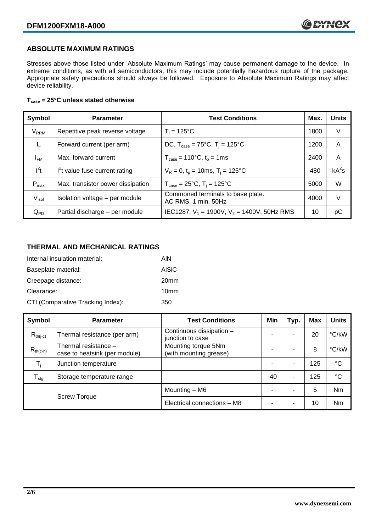# **ABSOLUTE MAXIMUM RATINGS**

Stresses above those listed under 'Absolute Maximum Ratings' may cause permanent damage to the device. In extreme conditions, as with all semiconductors, this may include potentially hazardous rupture of the package. Appropriate safety precautions should always be followed. Exposure to Absolute Maximum Ratings may affect device reliability.

#### **Tcase = 25°C unless stated otherwise**

| Symbol                  | <b>Parameter</b>                  | <b>Test Conditions</b>                                      | Max. | <b>Units</b> |
|-------------------------|-----------------------------------|-------------------------------------------------------------|------|--------------|
| <b>V</b> <sub>RRM</sub> | Repetitive peak reverse voltage   | $T_i = 125$ °C                                              | 1800 | V            |
| $\mathsf{I}_\mathsf{F}$ | Forward current (per arm)         | DC, $T_{\text{case}} = 75^{\circ}$ C, $T_i = 125^{\circ}$ C | 1200 | A            |
| $I_{FM}$                | Max. forward current              | $T_{\text{case}} = 110^{\circ}C, t_{p} = 1ms$               | 2400 | A            |
| $I^2t$                  | $I2t$ value fuse current rating   | $V_R = 0$ , $t_p = 10$ ms, $T_i = 125$ °C                   | 480  | $kA^2s$      |
| $P_{max}$               | Max. transistor power dissipation | $T_{\text{case}} = 25^{\circ}C$ , $T_i = 125^{\circ}C$      | 5000 | W            |
| $V_{\sf isol}$          | Isolation voltage - per module    | Commoned terminals to base plate.<br>AC RMS, 1 min, 50Hz    | 4000 | V            |
| $Q_{PD}$                | Partial discharge - per module    | IEC1287, $V_1$ = 1900V, $V_2$ = 1400V, 50Hz RMS             | 10   | рC           |

# **THERMAL AND MECHANICAL RATINGS**

| Internal insulation material:     | AIN              |
|-----------------------------------|------------------|
| Baseplate material:               | <b>AISiC</b>     |
| Creepage distance:                | 20 <sub>mm</sub> |
| Clearance:                        | 10 <sub>mm</sub> |
| CTI (Comparative Tracking Index): | 350              |

| Symbol           | <b>Parameter</b>                                      | <b>Test Conditions</b>                        | Min   | Typ. | <b>Max</b> | <b>Units</b> |
|------------------|-------------------------------------------------------|-----------------------------------------------|-------|------|------------|--------------|
| $R_{th(i-c)}$    | Thermal resistance (per arm)                          | Continuous dissipation -<br>junction to case  |       | ٠    | 20         | °C/kW        |
| $R_{th(c-h)}$    | Thermal resistance -<br>case to heatsink (per module) | Mounting torque 5Nm<br>(with mounting grease) |       | ۰    | 8          | °C/kW        |
| $T_i$            | Junction temperature                                  |                                               |       | ٠    | 125        | $^{\circ}C$  |
| $T_{\text{stg}}$ | Storage temperature range                             |                                               | $-40$ | ٠    | 125        | $^{\circ}C$  |
|                  |                                                       | Mounting – M6                                 |       | ۰    | 5          | <b>Nm</b>    |
|                  | <b>Screw Torque</b>                                   | Electrical connections - M8                   |       | ٠    | 10         | <b>Nm</b>    |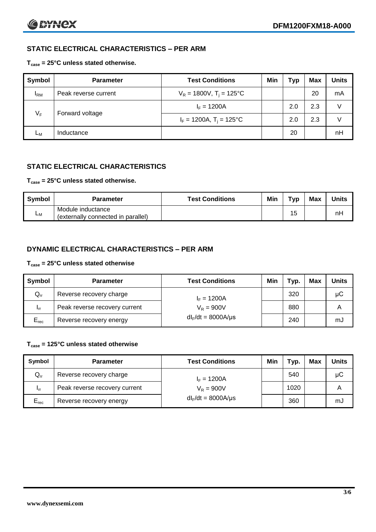# **STATIC ELECTRICAL CHARACTERISTICS – PER ARM**

### **Tcase = 25°C unless stated otherwise.**

| Symbol       | <b>Parameter</b>     | <b>Test Conditions</b>                 | Min | Typ | Max | <b>Units</b> |
|--------------|----------------------|----------------------------------------|-----|-----|-----|--------------|
| $I_{\rm RM}$ | Peak reverse current | $V_R = 1800V$ , T <sub>i</sub> = 125°C |     |     | 20  | mA           |
| $V_F$        | Forward voltage      | $I_F = 1200A$                          |     | 2.0 | 2.3 | V            |
|              |                      | $I_F = 1200A$ , $T_i = 125^{\circ}C$   |     | 2.0 | 2.3 | V            |
| Lм           | Inductance           |                                        |     | 20  |     | nH           |

# **STATIC ELECTRICAL CHARACTERISTICS**

#### **Tcase = 25°C unless stated otherwise.**

| Symbol         | <b>Parameter</b>                                        | <b>Test Conditions</b> | Min | T <sub>VP</sub> | Max | <b>Units</b> |
|----------------|---------------------------------------------------------|------------------------|-----|-----------------|-----|--------------|
| L <sub>M</sub> | Module inductance<br>(externally connected in parallel) |                        |     | 15              |     | nH           |

# **DYNAMIC ELECTRICAL CHARACTERISTICS – PER ARM**

#### **Tcase = 25°C unless stated otherwise**

| Symbol          | <b>Parameter</b>              | <b>Test Conditions</b>  | Min | Typ. | Max | <b>Units</b> |
|-----------------|-------------------------------|-------------------------|-----|------|-----|--------------|
| $Q_{rr}$        | Reverse recovery charge       | $I_F = 1200A$           |     | 320  |     | μC           |
| 1 <sub>rr</sub> | Peak reverse recovery current | $V_R = 900V$            |     | 880  |     | A            |
| $E_{rec}$       | Reverse recovery energy       | $dl_F/dt = 8000A/\mu s$ |     | 240  |     | mJ           |

### **Tcase = 125°C unless stated otherwise**

| Symbol    | <b>Parameter</b>              | <b>Test Conditions</b>  | Min | тур. | <b>Max</b> | <b>Units</b> |
|-----------|-------------------------------|-------------------------|-----|------|------------|--------------|
| $Q_{rr}$  | Reverse recovery charge       | $I_F = 1200A$           |     | 540  |            | μC           |
| - Irr     | Peak reverse recovery current | $V_R = 900V$            |     | 1020 |            | А            |
| $E_{rec}$ | Reverse recovery energy       | $dl_F/dt = 8000A/\mu s$ |     | 360  |            | mJ           |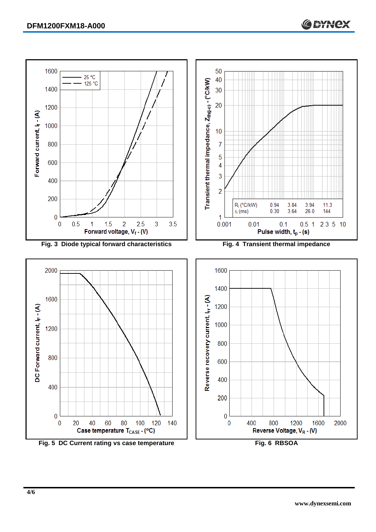

Fig. 5 DC Current rating vs case temperature **Fig. 6 RBSOA**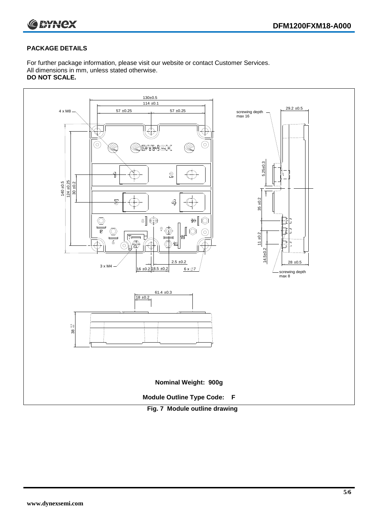

## **PACKAGE DETAILS**

For further package information, please visit our website or contact Customer Services. All dimensions in mm, unless stated otherwise. **DO NOT SCALE.**